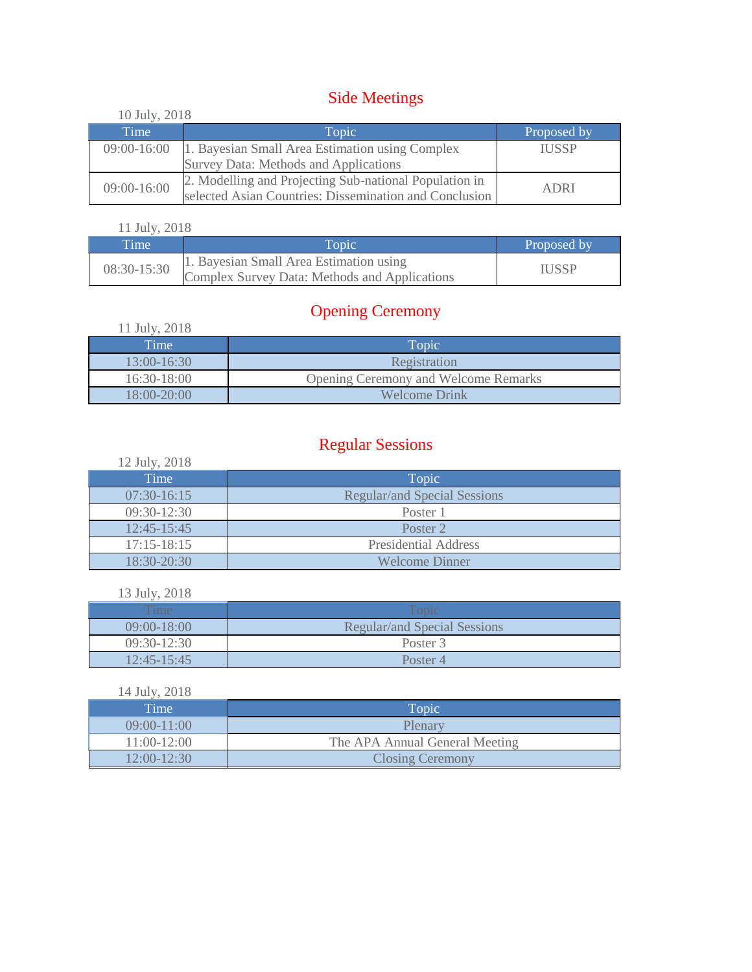## Side Meetings

| 10 July, 2018   |                                                        |              |
|-----------------|--------------------------------------------------------|--------------|
| Time            | Topic                                                  | Proposed by  |
| $09:00 - 16:00$ | 1. Bayesian Small Area Estimation using Complex        | <b>IUSSP</b> |
|                 | Survey Data: Methods and Applications                  |              |
| $09:00 - 16:00$ | 2. Modelling and Projecting Sub-national Population in | ADRI         |
|                 | selected Asian Countries: Dissemination and Conclusion |              |

11 July, 2018

| Time        | Topic <sup>1</sup>                                                                       | Proposed by  |
|-------------|------------------------------------------------------------------------------------------|--------------|
| 08:30-15:30 | 1. Bayesian Small Area Estimation using<br>Complex Survey Data: Methods and Applications | <b>IUSSP</b> |

## Opening Ceremony

| 11 July, 2018   |                                             |
|-----------------|---------------------------------------------|
| Time            | Topic                                       |
| $13:00 - 16:30$ | Registration                                |
| 16:30-18:00     | <b>Opening Ceremony and Welcome Remarks</b> |
| $18:00 - 20:00$ | <b>Welcome Drink</b>                        |

## Regular Sessions

| 12 July, 2018   |                                     |
|-----------------|-------------------------------------|
| Time            | Topic                               |
| $07:30-16:15$   | <b>Regular/and Special Sessions</b> |
| $09:30-12:30$   | Poster 1                            |
| $12:45-15:45$   | Poster 2                            |
| $17:15 - 18:15$ | <b>Presidential Address</b>         |
| $18:30-20:30$   | <b>Welcome Dinner</b>               |

13 July, 2018

| Time <sup>1</sup> | Topic.                       |
|-------------------|------------------------------|
| $09:00 - 18:00$   | Regular/and Special Sessions |
| 09:30-12:30       | Poster 3                     |
| $12:45 - 15:45$   | Poster 4                     |

14 July, 2018

| Time          | Topic                          |
|---------------|--------------------------------|
| $09:00-11:00$ | Plenary                        |
| $11:00-12:00$ | The APA Annual General Meeting |
| $12:00-12:30$ | <b>Closing Ceremony</b>        |